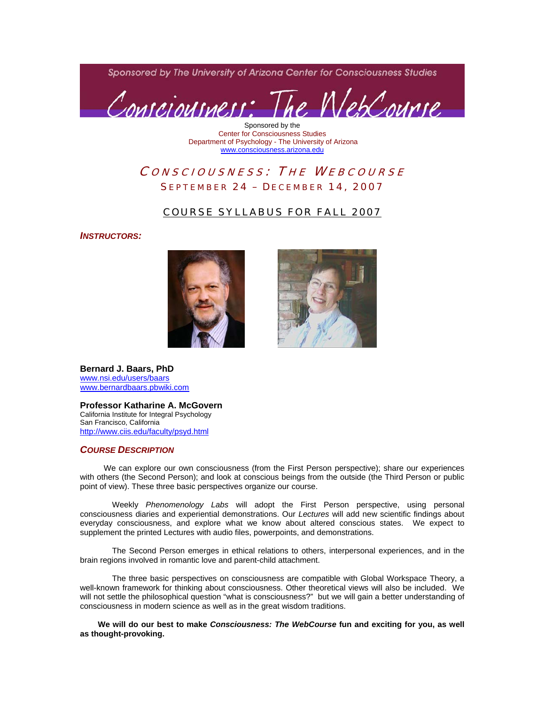Sponsored by The University of Arizona Center for Consciousness Studies



Sponsored by the Center for Consciousness Studies Department of Psychology - The University of Arizona [www.consciousness.arizona.edu](http://www.consciousness.arizona.edu/)

# CONSCIOUSNESS: THE WEBCOURSE SEPTEMBER 24 – DECEMBER 14, 2007

## COURSE SYLLABUS FOR FALL 2007

*INSTRUCTORS:* 





**Bernard J. Baars, PhD**  [www.nsi.edu/users/baars](http://www.nsi.edu/users/baars) [www.bernardbaars.pbwiki.com](http://www.bernardbaars.pbwiki.com/)

**Professor Katharine A. McGovern**  California Institute for Integral Psychology San Francisco, California <http://www.ciis.edu/faculty/psyd.html>

### *COURSE DESCRIPTION*

 We can explore our own consciousness (from the First Person perspective); share our experiences with others (the Second Person); and look at conscious beings from the outside (the Third Person or public point of view). These three basic perspectives organize our course.

Weekly *Phenomenology Labs* will adopt the First Person perspective, using personal consciousness diaries and experiential demonstrations. Our *Lectures* will add new scientific findings about everyday consciousness, and explore what we know about altered conscious states. We expect to supplement the printed Lectures with audio files, powerpoints, and demonstrations.

The Second Person emerges in ethical relations to others, interpersonal experiences, and in the brain regions involved in romantic love and parent-child attachment.

The three basic perspectives on consciousness are compatible with Global Workspace Theory, a well-known framework for thinking about consciousness. Other theoretical views will also be included. We will not settle the philosophical question "what is consciousness?" but we will gain a better understanding of consciousness in modern science as well as in the great wisdom traditions.

 **We will do our best to make** *Consciousness: The WebCourse* **fun and exciting for you, as well as thought-provoking.**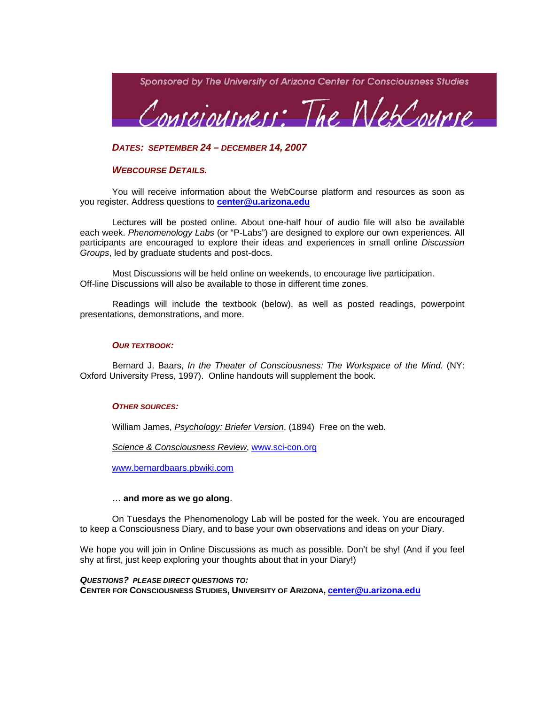

*DATES: SEPTEMBER 24 – DECEMBER 14, 2007* 

## *WEBCOURSE DETAILS.*

You will receive information about the WebCourse platform and resources as soon as you register. Address questions to **[center@u.arizona.edu](mailto:center@u.arizonal.edu)**

Lectures will be posted online. About one-half hour of audio file will also be available each week. *Phenomenology Labs* (or "P-Labs") are designed to explore our own experiences. All participants are encouraged to explore their ideas and experiences in small online *Discussion Groups*, led by graduate students and post-docs.

Most Discussions will be held online on weekends, to encourage live participation. Off-line Discussions will also be available to those in different time zones.

Readings will include the textbook (below), as well as posted readings, powerpoint presentations, demonstrations, and more.

#### *OUR TEXTBOOK:*

Bernard J. Baars, *In the Theater of Consciousness: The Workspace of the Mind.* (NY: Oxford University Press, 1997). Online handouts will supplement the book.

#### *OTHER SOURCES:*

William James, *Psychology: Briefer Version*. (1894) Free on the web.

*Science & Consciousness Review*, [www.sci-con.org](http://www.sci-con.org/)

[www.bernardbaars.pbwiki.com](http://www.bernardbaars.pbwiki.com/)

## … **and more as we go along**.

On Tuesdays the Phenomenology Lab will be posted for the week. You are encouraged to keep a Consciousness Diary, and to base your own observations and ideas on your Diary.

We hope you will join in Online Discussions as much as possible. Don't be shy! (And if you feel shy at first, just keep exploring your thoughts about that in your Diary!)

*QUESTIONS? PLEASE DIRECT QUESTIONS TO:* **CENTER FOR CONSCIOUSNESS STUDIES, UNIVERSITY OF ARIZONA, [center@u.arizona.edu](mailto:center@u.arizona.edu)**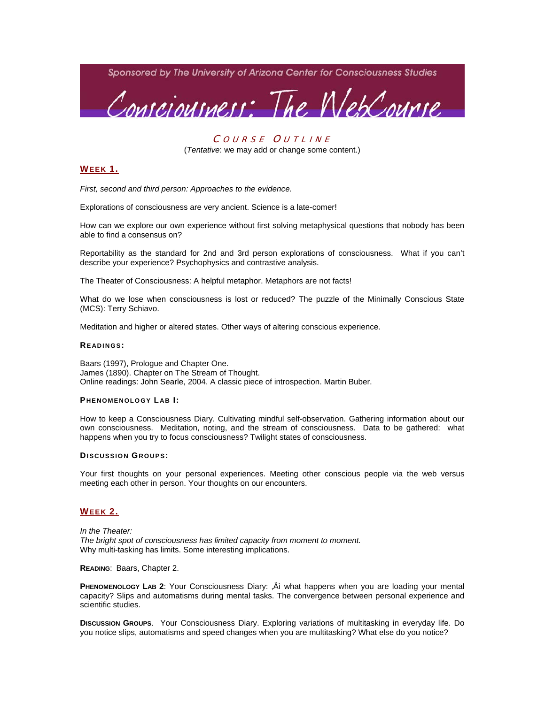Sponsored by The University of Arizona Center for Consciousness Studies



### COURSE OUTLINE

(*Tentative*: we may add or change some content.)

## **WEEK 1.**

*First, second and third person: Approaches to the evidence.* 

Explorations of consciousness are very ancient. Science is a late-comer!

How can we explore our own experience without first solving metaphysical questions that nobody has been able to find a consensus on?

Reportability as the standard for 2nd and 3rd person explorations of consciousness. What if you can't describe your experience? Psychophysics and contrastive analysis.

The Theater of Consciousness: A helpful metaphor. Metaphors are not facts!

What do we lose when consciousness is lost or reduced? The puzzle of the Minimally Conscious State (MCS): Terry Schiavo.

Meditation and higher or altered states. Other ways of altering conscious experience.

#### **READINGS:**

Baars (1997), Prologue and Chapter One. James (1890). Chapter on The Stream of Thought. Online readings: John Searle, 2004. A classic piece of introspection. Martin Buber.

#### **P HENOMENOLOGY L AB I:**

How to keep a Consciousness Diary. Cultivating mindful self-observation. Gathering information about our own consciousness. Meditation, noting, and the stream of consciousness. Data to be gathered: what happens when you try to focus consciousness? Twilight states of consciousness.

#### **DISCUSSION GROUPS:**

Your first thoughts on your personal experiences. Meeting other conscious people via the web versus meeting each other in person. Your thoughts on our encounters.

#### **WEEK 2.**

*In the Theater: The bright spot of consciousness has limited capacity from moment to moment.*  Why multi-tasking has limits. Some interesting implications.

**READING**: Baars, Chapter 2.

**PHENOMENOLOGY LAB 2:** Your Consciousness Diary: "At what happens when you are loading your mental capacity? Slips and automatisms during mental tasks. The convergence between personal experience and scientific studies.

**DISCUSSION GROUPS**. Your Consciousness Diary. Exploring variations of multitasking in everyday life. Do you notice slips, automatisms and speed changes when you are multitasking? What else do you notice?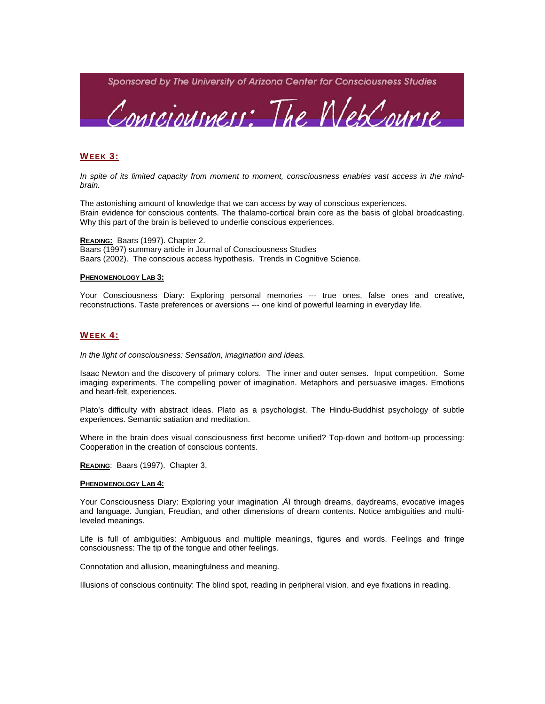

## **WEEK 3:**

*In spite of its limited capacity from moment to moment, consciousness enables vast access in the mindbrain.* 

The astonishing amount of knowledge that we can access by way of conscious experiences. Brain evidence for conscious contents. The thalamo-cortical brain core as the basis of global broadcasting. Why this part of the brain is believed to underlie conscious experiences.

**READING:** Baars (1997). Chapter 2. Baars (1997) summary article in Journal of Consciousness Studies Baars (2002). The conscious access hypothesis. Trends in Cognitive Science.

#### **PHENOMENOLOGY LAB 3:**

Your Consciousness Diary: Exploring personal memories --- true ones, false ones and creative, reconstructions. Taste preferences or aversions --- one kind of powerful learning in everyday life.

## **WEEK 4:**

*In the light of consciousness: Sensation, imagination and ideas.* 

Isaac Newton and the discovery of primary colors. The inner and outer senses. Input competition. Some imaging experiments. The compelling power of imagination. Metaphors and persuasive images. Emotions and heart-felt, experiences.

Plato's difficulty with abstract ideas. Plato as a psychologist. The Hindu-Buddhist psychology of subtle experiences. Semantic satiation and meditation.

Where in the brain does visual consciousness first become unified? Top-down and bottom-up processing: Cooperation in the creation of conscious contents.

**READING**: Baars (1997). Chapter 3.

#### **PHENOMENOLOGY LAB 4:**

Your Consciousness Diary: Exploring your imagination .At through dreams, daydreams, evocative images and language. Jungian, Freudian, and other dimensions of dream contents. Notice ambiguities and multileveled meanings.

Life is full of ambiguities: Ambiguous and multiple meanings, figures and words. Feelings and fringe consciousness: The tip of the tongue and other feelings.

Connotation and allusion, meaningfulness and meaning.

Illusions of conscious continuity: The blind spot, reading in peripheral vision, and eye fixations in reading.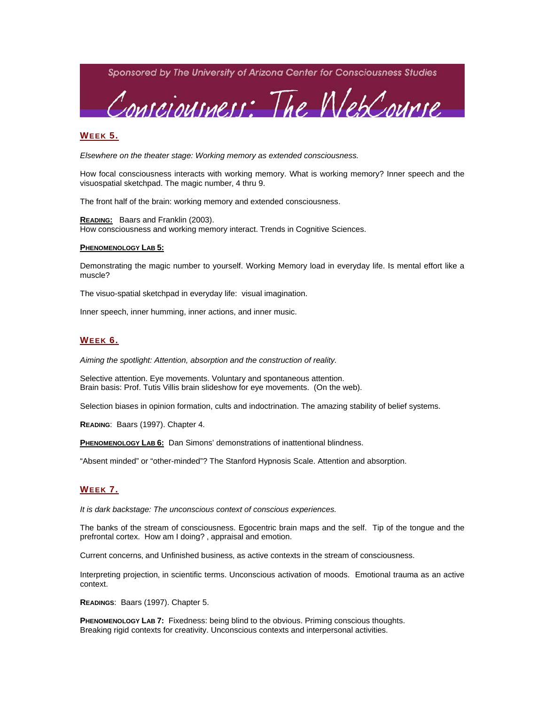Sponsored by The University of Arizona Center for Consciousness Studies



### **WEEK 5.**

*Elsewhere on the theater stage: Working memory as extended consciousness.*

How focal consciousness interacts with working memory. What is working memory? Inner speech and the visuospatial sketchpad. The magic number, 4 thru 9.

The front half of the brain: working memory and extended consciousness.

**READING:** Baars and Franklin (2003). How consciousness and working memory interact. Trends in Cognitive Sciences.

#### **PHENOMENOLOGY LAB 5:**

Demonstrating the magic number to yourself. Working Memory load in everyday life. Is mental effort like a muscle?

The visuo-spatial sketchpad in everyday life: visual imagination.

Inner speech, inner humming, inner actions, and inner music.

#### **WEEK 6.**

*Aiming the spotlight: Attention, absorption and the construction of reality.* 

Selective attention. Eye movements. Voluntary and spontaneous attention. Brain basis: Prof. Tutis Villis brain slideshow for eye movements. (On the web).

Selection biases in opinion formation, cults and indoctrination. The amazing stability of belief systems.

**READING**: Baars (1997). Chapter 4.

**PHENOMENOLOGY LAB 6:** Dan Simons' demonstrations of inattentional blindness.

"Absent minded" or "other-minded"? The Stanford Hypnosis Scale. Attention and absorption.

#### **WEEK 7.**

*It is dark backstage: The unconscious context of conscious experiences.* 

The banks of the stream of consciousness. Egocentric brain maps and the self. Tip of the tongue and the prefrontal cortex. How am I doing?, appraisal and emotion.

Current concerns, and Unfinished business, as active contexts in the stream of consciousness.

Interpreting projection, in scientific terms. Unconscious activation of moods. Emotional trauma as an active context.

**READINGS**: Baars (1997). Chapter 5.

**PHENOMENOLOGY LAB 7:** Fixedness: being blind to the obvious. Priming conscious thoughts. Breaking rigid contexts for creativity. Unconscious contexts and interpersonal activities.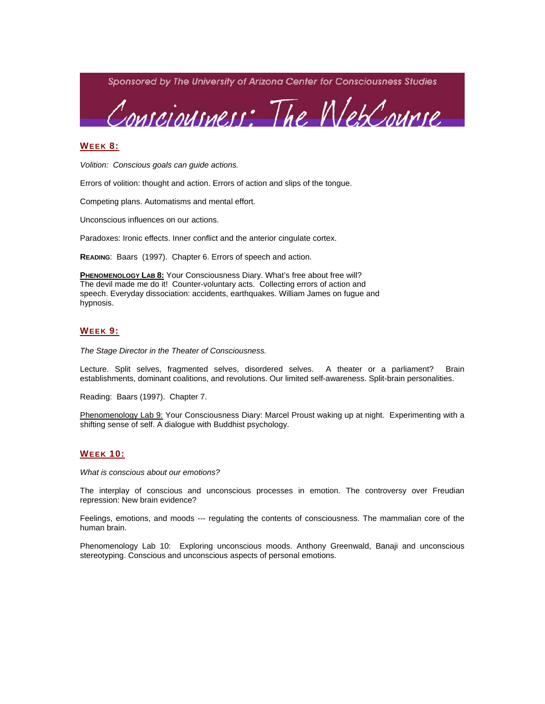

## **WEEK 8:**

*Volition: Conscious goals can guide actions.* 

Errors of volition: thought and action. Errors of action and slips of the tongue.

Competing plans. Automatisms and mental effort.

Unconscious influences on our actions.

Paradoxes: Ironic effects. Inner conflict and the anterior cingulate cortex.

**READING**: Baars (1997). Chapter 6. Errors of speech and action.

**PHENOMENOLOGY LAB 8:** Your Consciousness Diary. What's free about free will? The devil made me do it! Counter-voluntary acts. Collecting errors of action and speech. Everyday dissociation: accidents, earthquakes. William James on fugue and hypnosis.

#### **WEEK 9:**

*The Stage Director in the Theater of Consciousness.* 

Lecture. Split selves, fragmented selves, disordered selves. A theater or a parliament? Brain establishments, dominant coalitions, and revolutions. Our limited self-awareness. Split-brain personalities.

Reading: Baars (1997). Chapter 7.

Phenomenology Lab 9: Your Consciousness Diary: Marcel Proust waking up at night. Experimenting with a shifting sense of self. A dialogue with Buddhist psychology.

## **WEEK 10:**

*What is conscious about our emotions?* 

The interplay of conscious and unconscious processes in emotion. The controversy over Freudian repression: New brain evidence?

Feelings, emotions, and moods --- regulating the contents of consciousness. The mammalian core of the human brain.

Phenomenology Lab 10: Exploring unconscious moods. Anthony Greenwald, Banaji and unconscious stereotyping. Conscious and unconscious aspects of personal emotions.